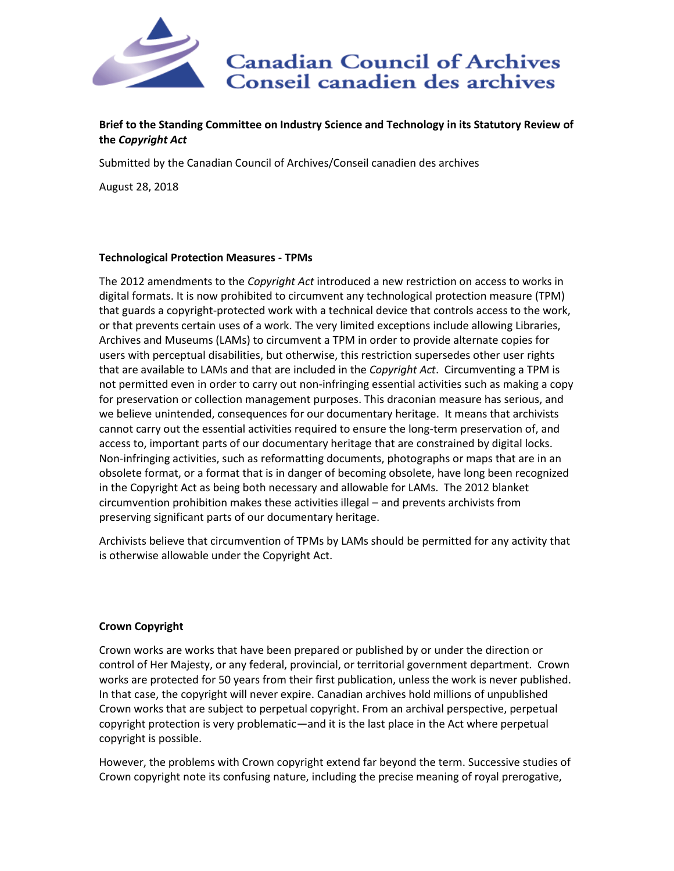

# **Brief to the Standing Committee on Industry Science and Technology in its Statutory Review of the** *Copyright Act*

Submitted by the Canadian Council of Archives/Conseil canadien des archives

August 28, 2018

## **Technological Protection Measures - TPMs**

The 2012 amendments to the *Copyright Act* introduced a new restriction on access to works in digital formats. It is now prohibited to circumvent any technological protection measure (TPM) that guards a copyright-protected work with a technical device that controls access to the work, or that prevents certain uses of a work. The very limited exceptions include allowing Libraries, Archives and Museums (LAMs) to circumvent a TPM in order to provide alternate copies for users with perceptual disabilities, but otherwise, this restriction supersedes other user rights that are available to LAMs and that are included in the *Copyright Act*. Circumventing a TPM is not permitted even in order to carry out non-infringing essential activities such as making a copy for preservation or collection management purposes. This draconian measure has serious, and we believe unintended, consequences for our documentary heritage. It means that archivists cannot carry out the essential activities required to ensure the long-term preservation of, and access to, important parts of our documentary heritage that are constrained by digital locks. Non-infringing activities, such as reformatting documents, photographs or maps that are in an obsolete format, or a format that is in danger of becoming obsolete, have long been recognized in the Copyright Act as being both necessary and allowable for LAMs. The 2012 blanket circumvention prohibition makes these activities illegal – and prevents archivists from preserving significant parts of our documentary heritage.

Archivists believe that circumvention of TPMs by LAMs should be permitted for any activity that is otherwise allowable under the Copyright Act.

## **Crown Copyright**

Crown works are works that have been prepared or published by or under the direction or control of Her Majesty, or any federal, provincial, or territorial government department. Crown works are protected for 50 years from their first publication, unless the work is never published. In that case, the copyright will never expire. Canadian archives hold millions of unpublished Crown works that are subject to perpetual copyright. From an archival perspective, perpetual copyright protection is very problematic—and it is the last place in the Act where perpetual copyright is possible.

However, the problems with Crown copyright extend far beyond the term. Successive studies of Crown copyright note its confusing nature, including the precise meaning of royal prerogative,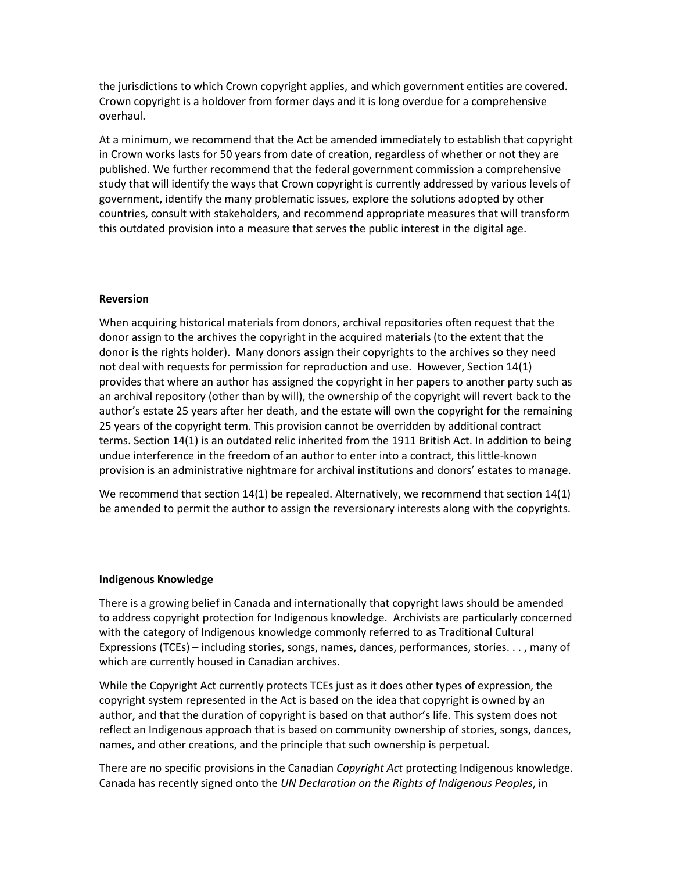the jurisdictions to which Crown copyright applies, and which government entities are covered. Crown copyright is a holdover from former days and it is long overdue for a comprehensive overhaul.

At a minimum, we recommend that the Act be amended immediately to establish that copyright in Crown works lasts for 50 years from date of creation, regardless of whether or not they are published. We further recommend that the federal government commission a comprehensive study that will identify the ways that Crown copyright is currently addressed by various levels of government, identify the many problematic issues, explore the solutions adopted by other countries, consult with stakeholders, and recommend appropriate measures that will transform this outdated provision into a measure that serves the public interest in the digital age.

#### **Reversion**

When acquiring historical materials from donors, archival repositories often request that the donor assign to the archives the copyright in the acquired materials (to the extent that the donor is the rights holder). Many donors assign their copyrights to the archives so they need not deal with requests for permission for reproduction and use. However, Section 14(1) provides that where an author has assigned the copyright in her papers to another party such as an archival repository (other than by will), the ownership of the copyright will revert back to the author's estate 25 years after her death, and the estate will own the copyright for the remaining 25 years of the copyright term. This provision cannot be overridden by additional contract terms. Section 14(1) is an outdated relic inherited from the 1911 British Act. In addition to being undue interference in the freedom of an author to enter into a contract, this little-known provision is an administrative nightmare for archival institutions and donors' estates to manage.

We recommend that section 14(1) be repealed. Alternatively, we recommend that section 14(1) be amended to permit the author to assign the reversionary interests along with the copyrights.

#### **Indigenous Knowledge**

There is a growing belief in Canada and internationally that copyright laws should be amended to address copyright protection for Indigenous knowledge. Archivists are particularly concerned with the category of Indigenous knowledge commonly referred to as Traditional Cultural Expressions (TCEs) – including stories, songs, names, dances, performances, stories. . . , many of which are currently housed in Canadian archives.

While the Copyright Act currently protects TCEs just as it does other types of expression, the copyright system represented in the Act is based on the idea that copyright is owned by an author, and that the duration of copyright is based on that author's life. This system does not reflect an Indigenous approach that is based on community ownership of stories, songs, dances, names, and other creations, and the principle that such ownership is perpetual.

There are no specific provisions in the Canadian *Copyright Act* protecting Indigenous knowledge. Canada has recently signed onto the *UN Declaration on the Rights of Indigenous Peoples*, in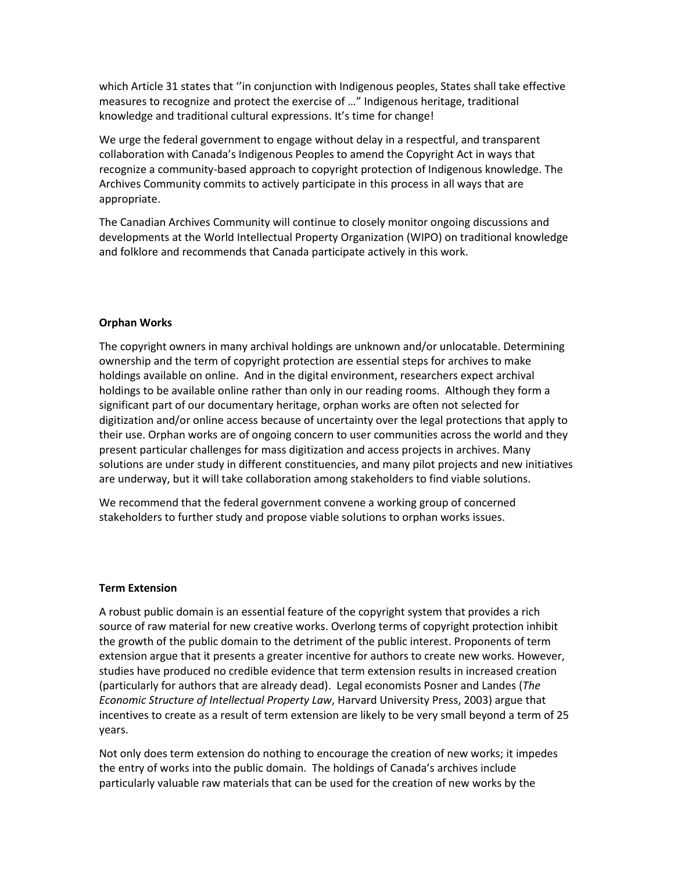which Article 31 states that ''in conjunction with Indigenous peoples, States shall take effective measures to recognize and protect the exercise of …" Indigenous heritage, traditional knowledge and traditional cultural expressions. It's time for change!

We urge the federal government to engage without delay in a respectful, and transparent collaboration with Canada's Indigenous Peoples to amend the Copyright Act in ways that recognize a community-based approach to copyright protection of Indigenous knowledge. The Archives Community commits to actively participate in this process in all ways that are appropriate.

The Canadian Archives Community will continue to closely monitor ongoing discussions and developments at the World Intellectual Property Organization (WIPO) on traditional knowledge and folklore and recommends that Canada participate actively in this work.

## **Orphan Works**

The copyright owners in many archival holdings are unknown and/or unlocatable. Determining ownership and the term of copyright protection are essential steps for archives to make holdings available on online. And in the digital environment, researchers expect archival holdings to be available online rather than only in our reading rooms. Although they form a significant part of our documentary heritage, orphan works are often not selected for digitization and/or online access because of uncertainty over the legal protections that apply to their use. Orphan works are of ongoing concern to user communities across the world and they present particular challenges for mass digitization and access projects in archives. Many solutions are under study in different constituencies, and many pilot projects and new initiatives are underway, but it will take collaboration among stakeholders to find viable solutions.

We recommend that the federal government convene a working group of concerned stakeholders to further study and propose viable solutions to orphan works issues.

### **Term Extension**

A robust public domain is an essential feature of the copyright system that provides a rich source of raw material for new creative works. Overlong terms of copyright protection inhibit the growth of the public domain to the detriment of the public interest. Proponents of term extension argue that it presents a greater incentive for authors to create new works. However, studies have produced no credible evidence that term extension results in increased creation (particularly for authors that are already dead). Legal economists Posner and Landes (*The Economic Structure of Intellectual Property Law*, Harvard University Press, 2003) argue that incentives to create as a result of term extension are likely to be very small beyond a term of 25 years.

Not only does term extension do nothing to encourage the creation of new works; it impedes the entry of works into the public domain. The holdings of Canada's archives include particularly valuable raw materials that can be used for the creation of new works by the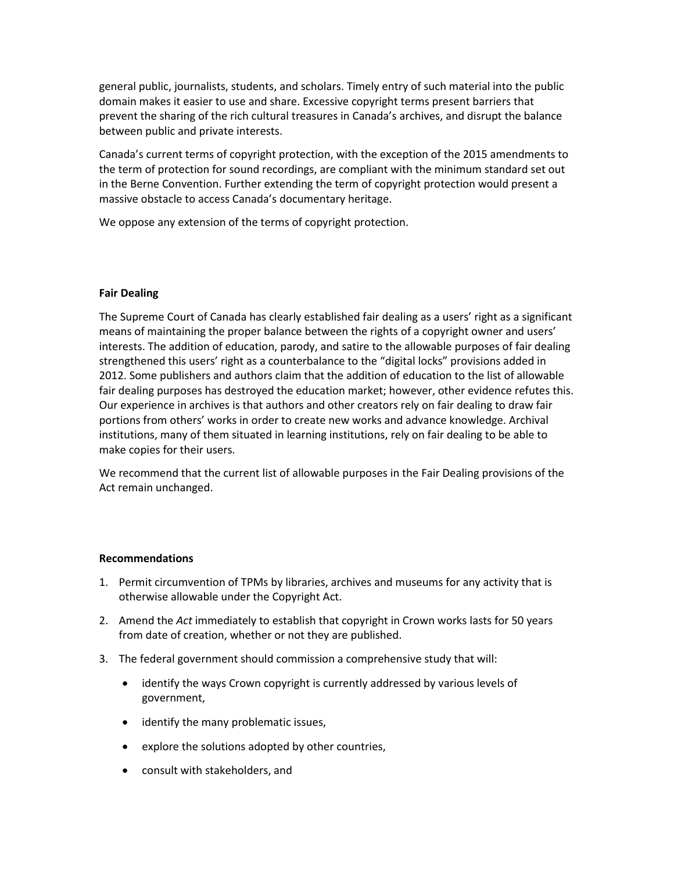general public, journalists, students, and scholars. Timely entry of such material into the public domain makes it easier to use and share. Excessive copyright terms present barriers that prevent the sharing of the rich cultural treasures in Canada's archives, and disrupt the balance between public and private interests.

Canada's current terms of copyright protection, with the exception of the 2015 amendments to the term of protection for sound recordings, are compliant with the minimum standard set out in the Berne Convention. Further extending the term of copyright protection would present a massive obstacle to access Canada's documentary heritage.

We oppose any extension of the terms of copyright protection.

## **Fair Dealing**

The Supreme Court of Canada has clearly established fair dealing as a users' right as a significant means of maintaining the proper balance between the rights of a copyright owner and users' interests. The addition of education, parody, and satire to the allowable purposes of fair dealing strengthened this users' right as a counterbalance to the "digital locks" provisions added in 2012. Some publishers and authors claim that the addition of education to the list of allowable fair dealing purposes has destroyed the education market; however, other evidence refutes this. Our experience in archives is that authors and other creators rely on fair dealing to draw fair portions from others' works in order to create new works and advance knowledge. Archival institutions, many of them situated in learning institutions, rely on fair dealing to be able to make copies for their users.

We recommend that the current list of allowable purposes in the Fair Dealing provisions of the Act remain unchanged.

### **Recommendations**

- 1. Permit circumvention of TPMs by libraries, archives and museums for any activity that is otherwise allowable under the Copyright Act.
- 2. Amend the *Act* immediately to establish that copyright in Crown works lasts for 50 years from date of creation, whether or not they are published.
- 3. The federal government should commission a comprehensive study that will:
	- identify the ways Crown copyright is currently addressed by various levels of government,
	- identify the many problematic issues,
	- explore the solutions adopted by other countries,
	- consult with stakeholders, and